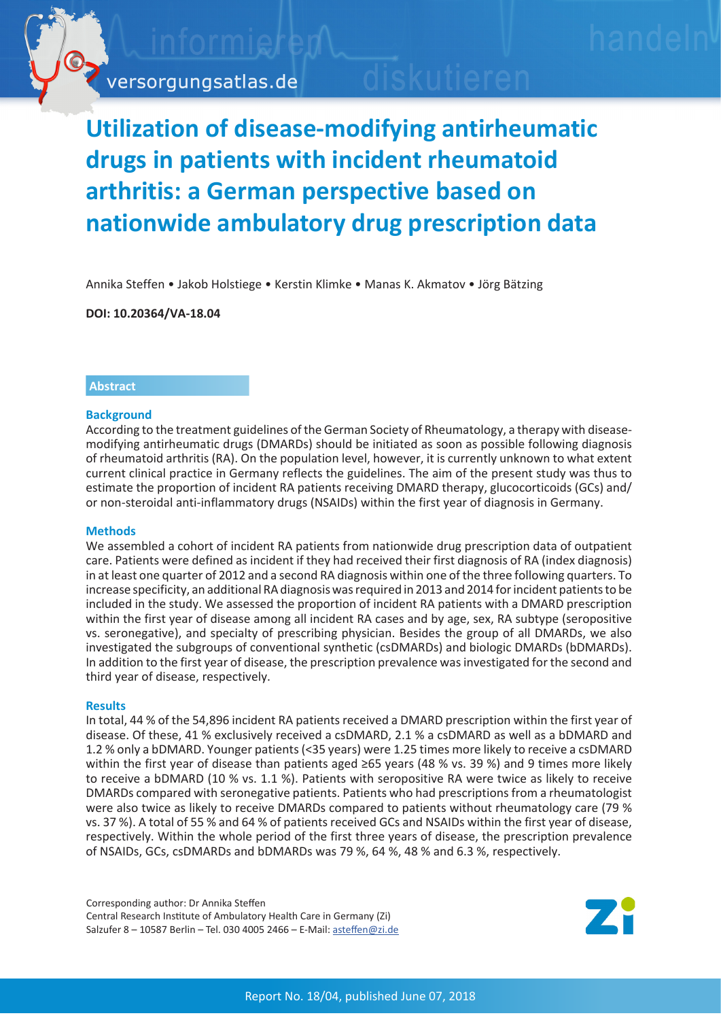

# **Utilization of disease-modifying antirheumatic drugs in patients with incident rheumatoid arthritis: a German perspective based on nationwide ambulatory drug prescription data**

Annika Steffen • Jakob Holstiege • Kerstin Klimke • Manas K. Akmatov • Jörg Bätzing

**DOI: 10.20364/VA-18.04**

## **Abstract**

## **Background**

According to the treatment guidelines of the German Society of Rheumatology, a therapy with diseasemodifying antirheumatic drugs (DMARDs) should be initiated as soon as possible following diagnosis of rheumatoid arthritis (RA). On the population level, however, it is currently unknown to what extent current clinical practice in Germany reflects the guidelines. The aim of the present study was thus to estimate the proportion of incident RA patients receiving DMARD therapy, glucocorticoids (GCs) and/ or non-steroidal anti-inflammatory drugs (NSAIDs) within the first year of diagnosis in Germany.

## **Methods**

We assembled a cohort of incident RA patients from nationwide drug prescription data of outpatient care. Patients were defined as incident if they had received their first diagnosis of RA (index diagnosis) in at least one quarter of 2012 and a second RA diagnosis within one of the three following quarters. To increase specificity, an additional RA diagnosis was required in 2013 and 2014 for incident patients to be included in the study. We assessed the proportion of incident RA patients with a DMARD prescription within the first year of disease among all incident RA cases and by age, sex, RA subtype (seropositive vs. seronegative), and specialty of prescribing physician. Besides the group of all DMARDs, we also investigated the subgroups of conventional synthetic (csDMARDs) and biologic DMARDs (bDMARDs). In addition to the first year of disease, the prescription prevalence was investigated for the second and third year of disease, respectively.

#### **Results**

In total, 44 % of the 54,896 incident RA patients received a DMARD prescription within the first year of disease. Of these, 41 % exclusively received a csDMARD, 2.1 % a csDMARD as well as a bDMARD and 1.2 % only a bDMARD. Younger patients (<35 years) were 1.25 times more likely to receive a csDMARD within the first year of disease than patients aged ≥65 years (48 % vs. 39 %) and 9 times more likely to receive a bDMARD (10 % vs. 1.1 %). Patients with seropositive RA were twice as likely to receive DMARDs compared with seronegative patients. Patients who had prescriptions from a rheumatologist were also twice as likely to receive DMARDs compared to patients without rheumatology care (79 % vs. 37 %). A total of 55 % and 64 % of patients received GCs and NSAIDs within the first year of disease, respectively. Within the whole period of the first three years of disease, the prescription prevalence of NSAIDs, GCs, csDMARDs and bDMARDs was 79 %, 64 %, 48 % and 6.3 %, respectively.

Corresponding author: Dr Annika Steffen Central Research Institute of Ambulatory Health Care in Germany (Zi) Salzufer 8 – 10587 Berlin – Tel. 030 4005 2466 – E-Mail: asteffen[@zi.de](mailto:asteffen%40zi.de?subject=)